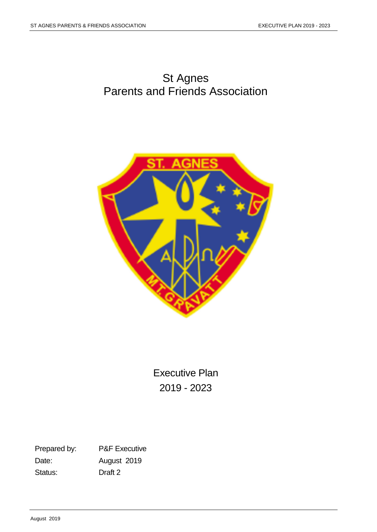# St Agnes Parents and Friends Association



Executive Plan 2019 - 2023

Prepared by: P&F Executive Date: August 2019 Status: Draft 2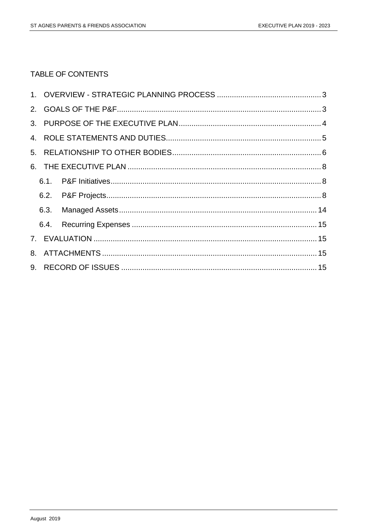# TABLE OF CONTENTS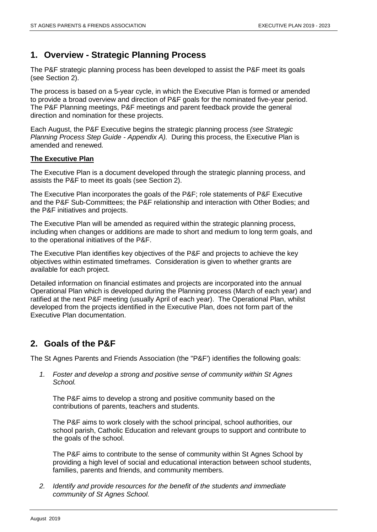# <span id="page-2-0"></span>**1. Overview - Strategic Planning Process**

The P&F strategic planning process has been developed to assist the P&F meet its goals (see Section 2).

The process is based on a 5-year cycle, in which the Executive Plan is formed or amended to provide a broad overview and direction of P&F goals for the nominated five-year period. The P&F Planning meetings, P&F meetings and parent feedback provide the general direction and nomination for these projects.

Each August, the P&F Executive begins the strategic planning process *(see Strategic Planning Process Step Guide - Appendix A).* During this process, the Executive Plan is amended and renewed*.*

#### **The Executive Plan**

The Executive Plan is a document developed through the strategic planning process, and assists the P&F to meet its goals (see Section 2).

The Executive Plan incorporates the goals of the P&F; role statements of P&F Executive and the P&F Sub-Committees; the P&F relationship and interaction with Other Bodies; and the P&F initiatives and projects.

The Executive Plan will be amended as required within the strategic planning process, including when changes or additions are made to short and medium to long term goals, and to the operational initiatives of the P&F.

The Executive Plan identifies key objectives of the P&F and projects to achieve the key objectives within estimated timeframes. Consideration is given to whether grants are available for each project.

Detailed information on financial estimates and projects are incorporated into the annual Operational Plan which is developed during the Planning process (March of each year) and ratified at the next P&F meeting (usually April of each year). The Operational Plan, whilst developed from the projects identified in the Executive Plan, does not form part of the Executive Plan documentation.

# <span id="page-2-1"></span>**2. Goals of the P&F**

The St Agnes Parents and Friends Association (the "P&F') identifies the following goals:

*1. Foster and develop a strong and positive sense of community within St Agnes School.*

The P&F aims to develop a strong and positive community based on the contributions of parents, teachers and students.

The P&F aims to work closely with the school principal, school authorities, our school parish, Catholic Education and relevant groups to support and contribute to the goals of the school.

The P&F aims to contribute to the sense of community within St Agnes School by providing a high level of social and educational interaction between school students, families, parents and friends, and community members.

*2. Identify and provide resources for the benefit of the students and immediate community of St Agnes School.*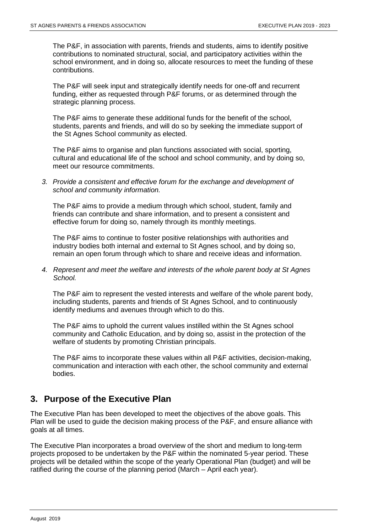The P&F, in association with parents, friends and students, aims to identify positive contributions to nominated structural, social, and participatory activities within the school environment, and in doing so, allocate resources to meet the funding of these contributions.

The P&F will seek input and strategically identify needs for one-off and recurrent funding, either as requested through P&F forums, or as determined through the strategic planning process.

The P&F aims to generate these additional funds for the benefit of the school, students, parents and friends, and will do so by seeking the immediate support of the St Agnes School community as elected.

The P&F aims to organise and plan functions associated with social, sporting, cultural and educational life of the school and school community, and by doing so, meet our resource commitments.

*3. Provide a consistent and effective forum for the exchange and development of school and community information.*

The P&F aims to provide a medium through which school, student, family and friends can contribute and share information, and to present a consistent and effective forum for doing so, namely through its monthly meetings.

The P&F aims to continue to foster positive relationships with authorities and industry bodies both internal and external to St Agnes school, and by doing so, remain an open forum through which to share and receive ideas and information.

*4. Represent and meet the welfare and interests of the whole parent body at St Agnes School.*

The P&F aim to represent the vested interests and welfare of the whole parent body, including students, parents and friends of St Agnes School, and to continuously identify mediums and avenues through which to do this.

The P&F aims to uphold the current values instilled within the St Agnes school community and Catholic Education, and by doing so, assist in the protection of the welfare of students by promoting Christian principals.

The P&F aims to incorporate these values within all P&F activities, decision-making, communication and interaction with each other, the school community and external bodies.

# <span id="page-3-0"></span>**3. Purpose of the Executive Plan**

The Executive Plan has been developed to meet the objectives of the above goals. This Plan will be used to guide the decision making process of the P&F, and ensure alliance with goals at all times.

The Executive Plan incorporates a broad overview of the short and medium to long-term projects proposed to be undertaken by the P&F within the nominated 5-year period. These projects will be detailed within the scope of the yearly Operational Plan (budget) and will be ratified during the course of the planning period (March – April each year).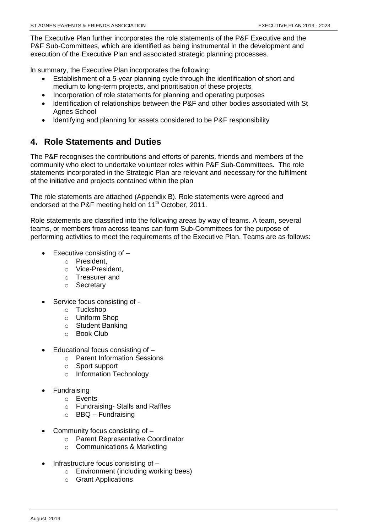The Executive Plan further incorporates the role statements of the P&F Executive and the P&F Sub-Committees, which are identified as being instrumental in the development and execution of the Executive Plan and associated strategic planning processes.

ln summary, the Executive Plan incorporates the following:

- Establishment of a 5-year planning cycle through the identification of short and medium to long-term projects, and prioritisation of these projects
- Incorporation of role statements for planning and operating purposes
- ldentification of relationships between the P&F and other bodies associated with St Agnes School
- ldentifying and planning for assets considered to be P&F responsibility

# <span id="page-4-0"></span>**4. Role Statements and Duties**

The P&F recognises the contributions and efforts of parents, friends and members of the community who elect to undertake volunteer roles within P&F Sub-Committees. The role statements incorporated in the Strategic Plan are relevant and necessary for the fulfilment of the initiative and projects contained within the plan

The role statements are attached (Appendix B). Role statements were agreed and endorsed at the P&F meeting held on 11<sup>th</sup> October, 2011.

Role statements are classified into the following areas by way of teams. A team, several teams, or members from across teams can form Sub-Committees for the purpose of performing activities to meet the requirements of the Executive Plan. Teams are as follows:

- Executive consisting of
	- o President,
	- o Vice-President,
	- o Treasurer and
	- o Secretary
- Service focus consisting of
	- o Tuckshop
	- o Uniform Shop
	- o Student Banking
	- o Book Club
- Educational focus consisting of
	- o Parent Information Sessions
	- o Sport support
	- o Information Technology
- Fundraising
	- o Events
	- o Fundraising- Stalls and Raffles
	- $\circ$  BBQ Fundraising
- Community focus consisting of
	- o Parent Representative Coordinator
	- o Communications & Marketing
- Infrastructure focus consisting of
	- o Environment (including working bees)
	- o Grant Applications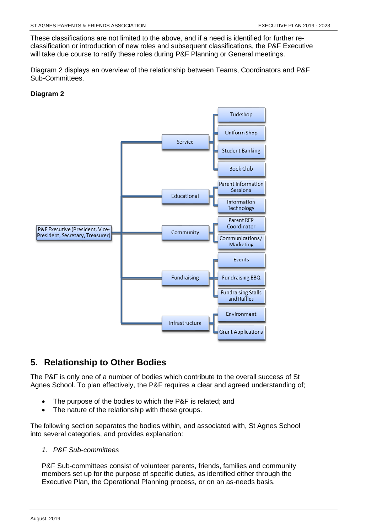These classifications are not limited to the above, and if a need is identified for further reclassification or introduction of new roles and subsequent classifications, the P&F Executive will take due course to ratify these roles during P&F Planning or General meetings.

Diagram 2 displays an overview of the relationship between Teams, Coordinators and P&F Sub-Committees.

### **Diagram 2**



# <span id="page-5-0"></span>**5. Relationship to Other Bodies**

The P&F is only one of a number of bodies which contribute to the overall success of St Agnes School. To plan effectively, the P&F requires a clear and agreed understanding of;

- The purpose of the bodies to which the P&F is related; and
- The nature of the relationship with these groups.

The following section separates the bodies within, and associated with, St Agnes School into several categories, and provides explanation:

*1. P&F Sub-committees*

P&F Sub-committees consist of volunteer parents, friends, families and community members set up for the purpose of specific duties, as identified either through the Executive Plan, the Operational Planning process, or on an as-needs basis.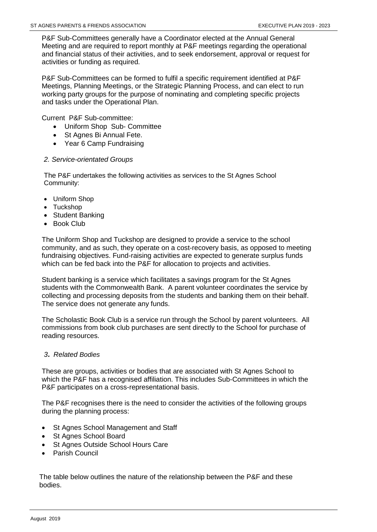P&F Sub-Committees generally have a Coordinator elected at the Annual General Meeting and are required to report monthly at P&F meetings regarding the operational and financial status of their activities, and to seek endorsement, approval or request for activities or funding as required.

P&F Sub-Committees can be formed to fulfil a specific requirement identified at P&F Meetings, Planning Meetings, or the Strategic Planning Process, and can elect to run working party groups for the purpose of nominating and completing specific projects and tasks under the Operational Plan.

Current P&F Sub-committee:

- Uniform Shop Sub- Committee
- St Agnes Bi Annual Fete.
- Year 6 Camp Fundraising

#### *2. Service-orientated Groups*

The P&F undertakes the following activities as services to the St Agnes School Community:

- Uniform Shop
- Tuckshop
- Student Banking
- Book Club

The Uniform Shop and Tuckshop are designed to provide a service to the school community, and as such, they operate on a cost-recovery basis, as opposed to meeting fundraising objectives. Fund-raising activities are expected to generate surplus funds which can be fed back into the P&F for allocation to projects and activities.

Student banking is a service which facilitates a savings program for the St Agnes students with the Commonwealth Bank. A parent volunteer coordinates the service by collecting and processing deposits from the students and banking them on their behalf. The service does not generate any funds.

The Scholastic Book Club is a service run through the School by parent volunteers. All commissions from book club purchases are sent directly to the School for purchase of reading resources.

#### *<sup>3</sup>. Related Bodies*

These are groups, activities or bodies that are associated with St Agnes School to which the P&F has a recognised affiliation. This includes Sub-Committees in which the P&F participates on a cross-representational basis.

The P&F recognises there is the need to consider the activities of the following groups during the planning process:

- St Agnes School Management and Staff
- St Agnes School Board
- St Agnes Outside School Hours Care
- Parish Council

The table below outlines the nature of the relationship between the P&F and these bodies.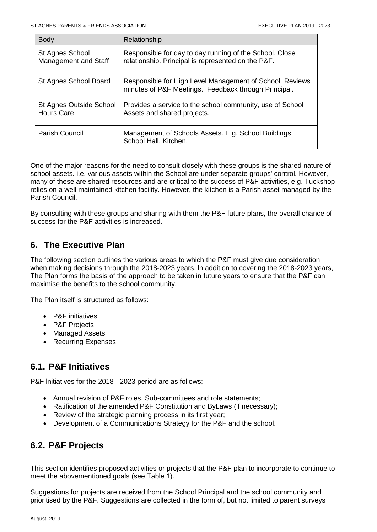| <b>Body</b>                                  | Relationship                                                                                                     |
|----------------------------------------------|------------------------------------------------------------------------------------------------------------------|
| St Agnes School<br>Management and Staff      | Responsible for day to day running of the School. Close<br>relationship. Principal is represented on the P&F.    |
| St Agnes School Board                        | Responsible for High Level Management of School. Reviews<br>minutes of P&F Meetings. Feedback through Principal. |
| St Agnes Outside School<br><b>Hours Care</b> | Provides a service to the school community, use of School<br>Assets and shared projects.                         |
| <b>Parish Council</b>                        | Management of Schools Assets. E.g. School Buildings,<br>School Hall, Kitchen.                                    |

One of the major reasons for the need to consult closely with these groups is the shared nature of school assets. i.e, various assets within the School are under separate groups' control. However, many of these are shared resources and are critical to the success of P&F activities, e.g. Tuckshop relies on a well maintained kitchen facility. However, the kitchen is a Parish asset managed by the Parish Council.

By consulting with these groups and sharing with them the P&F future plans, the overall chance of success for the P&F activities is increased.

# <span id="page-7-0"></span>**6. The Executive Plan**

The following section outlines the various areas to which the P&F must give due consideration when making decisions through the 2018-2023 years. ln addition to covering the 2018-2023 years, The Plan forms the basis of the approach to be taken in future years to ensure that the P&F can maximise the benefits to the school community.

The Plan itself is structured as follows:

- P&F initiatives
- P&F Projects
- Managed Assets
- Recurring Expenses

# <span id="page-7-1"></span>**6.1. P&F Initiatives**

P&F lnitiatives for the 2018 - 2023 period are as follows:

- Annual revision of P&F roles, Sub-committees and role statements;
- Ratification of the amended P&F Constitution and ByLaws (if necessary);
- Review of the strategic planning process in its first year;
- Development of a Communications Strategy for the P&F and the school.

# <span id="page-7-2"></span>**6.2. P&F Projects**

This section identifies proposed activities or projects that the P&F plan to incorporate to continue to meet the abovementioned goals (see Table 1).

Suggestions for projects are received from the School Principal and the school community and prioritised by the P&F. Suggestions are collected in the form of, but not limited to parent surveys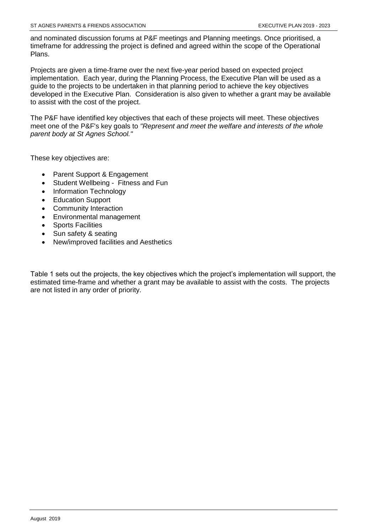and nominated discussion forums at P&F meetings and Planning meetings. Once prioritised, a timeframe for addressing the project is defined and agreed within the scope of the Operational Plans.

Projects are given a time-frame over the next five-year period based on expected project implementation. Each year, during the Planning Process, the Executive Plan will be used as a guide to the projects to be undertaken in that planning period to achieve the key objectives developed in the Executive Plan. Consideration is also given to whether a grant may be available to assist with the cost of the project.

The P&F have identified key objectives that each of these projects will meet. These objectives meet one of the P&F's key goals to *"Represent and meet the welfare and interests of the whole parent body at St Agnes School."*

These key objectives are:

- Parent Support & Engagement
- Student Wellbeing Fitness and Fun
- Information Technology
- Education Support
- Community Interaction
- Environmental management
- Sports Facilities
- Sun safety & seating
- New/improved facilities and Aesthetics

Table 1 sets out the projects, the key objectives which the project's implementation will support, the estimated time-frame and whether a grant may be available to assist with the costs. The projects are not listed in any order of priority.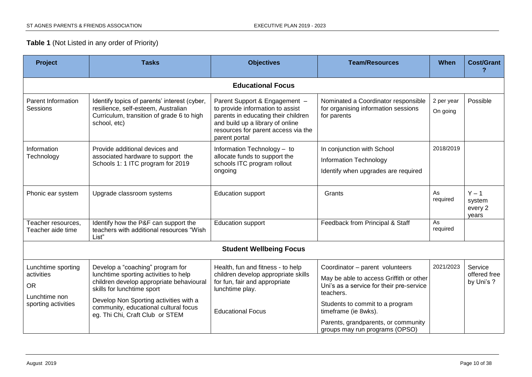# **Table 1** (Not Listed in any order of Priority)

| <b>Project</b><br><b>Tasks</b><br><b>Objectives</b>                                   |                                                                                                                                                                                                                                                                           | <b>Team/Resources</b>                                                                                                                                                                                | When                                                                                                                                                                                                                                  | <b>Cost/Grant</b>      |                                       |
|---------------------------------------------------------------------------------------|---------------------------------------------------------------------------------------------------------------------------------------------------------------------------------------------------------------------------------------------------------------------------|------------------------------------------------------------------------------------------------------------------------------------------------------------------------------------------------------|---------------------------------------------------------------------------------------------------------------------------------------------------------------------------------------------------------------------------------------|------------------------|---------------------------------------|
|                                                                                       |                                                                                                                                                                                                                                                                           | <b>Educational Focus</b>                                                                                                                                                                             |                                                                                                                                                                                                                                       |                        |                                       |
| Parent Information<br><b>Sessions</b>                                                 | Identify topics of parents' interest (cyber,<br>resilience, self-esteem, Australian<br>Curriculum, transition of grade 6 to high<br>school, etc)                                                                                                                          | Parent Support & Engagement -<br>to provide information to assist<br>parents in educating their children<br>and build up a library of online<br>resources for parent access via the<br>parent portal | Nominated a Coordinator responsible<br>for organising information sessions<br>for parents                                                                                                                                             | 2 per year<br>On going | Possible                              |
| Information<br>Technology                                                             | Provide additional devices and<br>associated hardware to support the<br>Schools 1: 1 ITC program for 2019                                                                                                                                                                 | Information Technology - to<br>allocate funds to support the<br>schools ITC program rollout<br>ongoing                                                                                               | In conjunction with School<br>Information Technology<br>Identify when upgrades are required                                                                                                                                           | 2018/2019              |                                       |
| Phonic ear system                                                                     | Upgrade classroom systems                                                                                                                                                                                                                                                 | <b>Education support</b>                                                                                                                                                                             | Grants                                                                                                                                                                                                                                | As<br>required         | $Y - 1$<br>system<br>every 2<br>years |
| Teacher resources,<br>Teacher aide time                                               | Identify how the P&F can support the<br>teachers with additional resources "Wish<br>List"                                                                                                                                                                                 | <b>Education support</b>                                                                                                                                                                             | Feedback from Principal & Staff                                                                                                                                                                                                       | As<br>required         |                                       |
|                                                                                       |                                                                                                                                                                                                                                                                           | <b>Student Wellbeing Focus</b>                                                                                                                                                                       |                                                                                                                                                                                                                                       |                        |                                       |
| Lunchtime sporting<br>activities<br><b>OR</b><br>Lunchtime non<br>sporting activities | Develop a "coaching" program for<br>lunchtime sporting activities to help<br>children develop appropriate behavioural<br>skills for lunchtime sport<br>Develop Non Sporting activities with a<br>community, educational cultural focus<br>eg. Thi Chi, Craft Club or STEM | Health, fun and fitness - to help<br>children develop appropriate skills<br>for fun, fair and appropriate<br>lunchtime play.<br><b>Educational Focus</b>                                             | Coordinator - parent volunteers<br>May be able to access Griffith or other<br>Uni's as a service for their pre-service<br>teachers.<br>Students to commit to a program<br>timeframe (ie 8wks).<br>Parents, grandparents, or community | 2021/2023              | Service<br>offered free<br>by Uni's ? |
|                                                                                       |                                                                                                                                                                                                                                                                           |                                                                                                                                                                                                      | groups may run programs (OPSO)                                                                                                                                                                                                        |                        |                                       |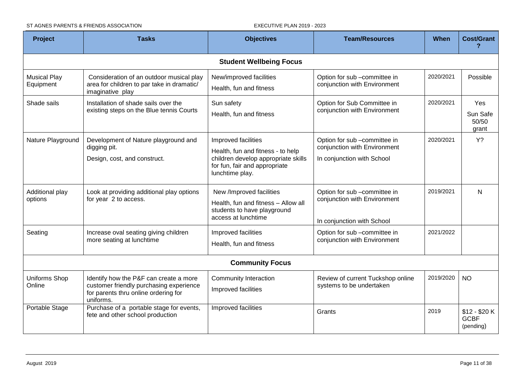ST AGNES PARENTS & FRIENDS ASSOCIATION EXECUTIVE PLAN 2019 - 2023

| Project<br><b>Tasks</b><br><b>Objectives</b> |                                                                                                                                        | <b>Team/Resources</b>                                                                                                                               | When                                                                                       | <b>Cost/Grant</b> |                                           |
|----------------------------------------------|----------------------------------------------------------------------------------------------------------------------------------------|-----------------------------------------------------------------------------------------------------------------------------------------------------|--------------------------------------------------------------------------------------------|-------------------|-------------------------------------------|
|                                              |                                                                                                                                        | <b>Student Wellbeing Focus</b>                                                                                                                      |                                                                                            |                   |                                           |
| <b>Musical Play</b><br>Equipment             | Consideration of an outdoor musical play<br>area for children to par take in dramatic/<br>imaginative play                             | New/improved facilities<br>Health, fun and fitness                                                                                                  | Option for sub -committee in<br>conjunction with Environment                               | 2020/2021         | Possible                                  |
| Shade sails                                  | Installation of shade sails over the<br>existing steps on the Blue tennis Courts                                                       | Sun safety<br>Health, fun and fitness                                                                                                               | Option for Sub Committee in<br>conjunction with Environment                                | 2020/2021         | Yes<br>Sun Safe<br>50/50<br>grant         |
| Nature Playground                            | Development of Nature playground and<br>digging pit.<br>Design, cost, and construct.                                                   | Improved facilities<br>Health, fun and fitness - to help<br>children develop appropriate skills<br>for fun, fair and appropriate<br>lunchtime play. | Option for sub -committee in<br>conjunction with Environment<br>In conjunction with School | 2020/2021         | Y?                                        |
| Additional play<br>options                   | Look at providing additional play options<br>for year 2 to access.                                                                     | New /Improved facilities<br>Health, fun and fitness - Allow all<br>students to have playground<br>access at lunchtime                               | Option for sub -committee in<br>conjunction with Environment<br>In conjunction with School | 2019/2021         | N                                         |
| Seating                                      | Increase oval seating giving children<br>more seating at lunchtime                                                                     | Improved facilities<br>Health, fun and fitness                                                                                                      | Option for sub -committee in<br>conjunction with Environment                               | 2021/2022         |                                           |
|                                              |                                                                                                                                        | <b>Community Focus</b>                                                                                                                              |                                                                                            |                   |                                           |
| Uniforms Shop<br>Online                      | Identify how the P&F can create a more<br>customer friendly purchasing experience<br>for parents thru online ordering for<br>uniforms. | <b>Community Interaction</b><br>Improved facilities                                                                                                 | Review of current Tuckshop online<br>systems to be undertaken                              | 2019/2020         | <b>NO</b>                                 |
| Portable Stage                               | Purchase of a portable stage for events,<br>fete and other school production                                                           | Improved facilities                                                                                                                                 | Grants                                                                                     | 2019              | $$12 - $20 K$<br><b>GCBF</b><br>(pending) |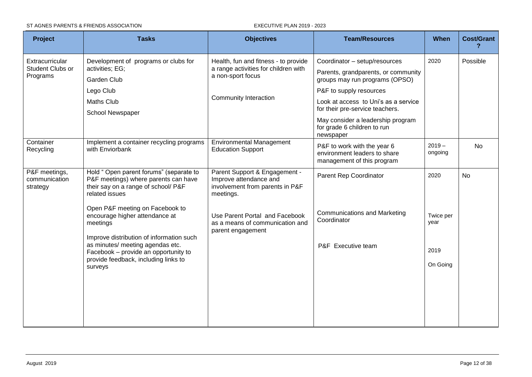#### ST AGNES PARENTS & FRIENDS ASSOCIATION EXECUTIVE PLAN 2019 - 2023

| Project                                    | <b>Tasks</b>                                                                                                                             | <b>Objectives</b>                                                                                       | <b>Team/Resources</b>                                                                     | When                | <b>Cost/Grant</b> |
|--------------------------------------------|------------------------------------------------------------------------------------------------------------------------------------------|---------------------------------------------------------------------------------------------------------|-------------------------------------------------------------------------------------------|---------------------|-------------------|
| Extracurricular                            | Development of programs or clubs for                                                                                                     | Health, fun and fitness - to provide                                                                    | Coordinator - setup/resources                                                             | 2020                | Possible          |
| Student Clubs or<br>Programs               | activities; EG;<br><b>Garden Club</b>                                                                                                    | a range activities for children with<br>a non-sport focus                                               | Parents, grandparents, or community<br>groups may run programs (OPSO)                     |                     |                   |
|                                            | Lego Club                                                                                                                                | <b>Community Interaction</b>                                                                            | P&F to supply resources                                                                   |                     |                   |
|                                            | <b>Maths Club</b><br>School Newspaper                                                                                                    |                                                                                                         | Look at access to Uni's as a service<br>for their pre-service teachers.                   |                     |                   |
|                                            |                                                                                                                                          |                                                                                                         | May consider a leadership program<br>for grade 6 children to run<br>newspaper             |                     |                   |
| Container<br>Recycling                     | Implement a container recycling programs<br>with Enviorbank                                                                              | Environmental Management<br><b>Education Support</b>                                                    | P&F to work with the year 6<br>environment leaders to share<br>management of this program | $2019 -$<br>ongoing | <b>No</b>         |
| P&F meetings,<br>communication<br>strategy | Hold " Open parent forums" (separate to<br>P&F meetings) where parents can have<br>their say on a range of school/ P&F<br>related issues | Parent Support & Engagement -<br>Improve attendance and<br>involvement from parents in P&F<br>meetings. | Parent Rep Coordinator                                                                    | 2020                | <b>No</b>         |
|                                            | Open P&F meeting on Facebook to<br>encourage higher attendance at<br>meetings<br>Improve distribution of information such                | Use Parent Portal and Facebook<br>as a means of communication and<br>parent engagement                  | <b>Communications and Marketing</b><br>Coordinator                                        | Twice per<br>year   |                   |
|                                            | as minutes/ meeting agendas etc.<br>Facebook - provide an opportunity to<br>provide feedback, including links to                         |                                                                                                         | P&F Executive team                                                                        | 2019                |                   |
|                                            | surveys                                                                                                                                  |                                                                                                         |                                                                                           | On Going            |                   |
|                                            |                                                                                                                                          |                                                                                                         |                                                                                           |                     |                   |
|                                            |                                                                                                                                          |                                                                                                         |                                                                                           |                     |                   |
|                                            |                                                                                                                                          |                                                                                                         |                                                                                           |                     |                   |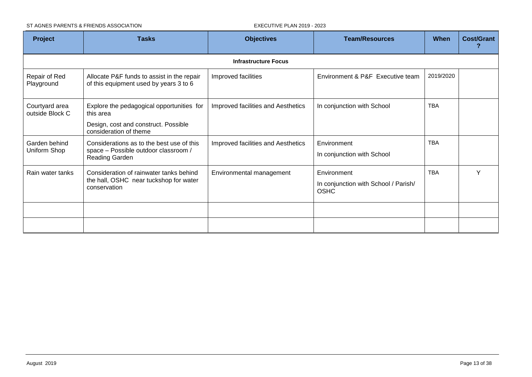ST AGNES PARENTS & FRIENDS ASSOCIATION EXECUTIVE PLAN 2019 - 2023

| <b>Project</b><br><b>Tasks</b>    |                                                                                                                          | <b>Objectives</b>                  | <b>Team/Resources</b>                                              | When       | <b>Cost/Grant</b> |
|-----------------------------------|--------------------------------------------------------------------------------------------------------------------------|------------------------------------|--------------------------------------------------------------------|------------|-------------------|
|                                   |                                                                                                                          | <b>Infrastructure Focus</b>        |                                                                    |            |                   |
| Repair of Red<br>Playground       | Allocate P&F funds to assist in the repair<br>of this equipment used by years 3 to 6                                     | Improved facilities                | Environment & P&F Executive team                                   | 2019/2020  |                   |
| Courtyard area<br>outside Block C | Explore the pedagogical opportunities for<br>this area<br>Design, cost and construct. Possible<br>consideration of theme | Improved facilities and Aesthetics | In conjunction with School                                         | <b>TBA</b> |                   |
| Garden behind<br>Uniform Shop     | Considerations as to the best use of this<br>space - Possible outdoor classroom /<br>Reading Garden                      | Improved facilities and Aesthetics | Environment<br>In conjunction with School                          | <b>TBA</b> |                   |
| Rain water tanks                  | Consideration of rainwater tanks behind<br>the hall, OSHC near tuckshop for water<br>conservation                        | Environmental management           | Environment<br>In conjunction with School / Parish/<br><b>OSHC</b> | <b>TBA</b> | Y                 |
|                                   |                                                                                                                          |                                    |                                                                    |            |                   |
|                                   |                                                                                                                          |                                    |                                                                    |            |                   |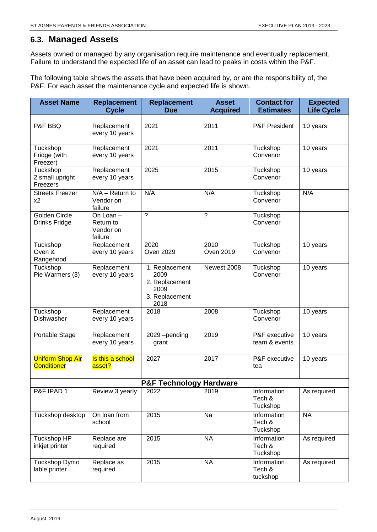# <span id="page-13-0"></span>**6.3. Managed Assets**

Assets owned or managed by any organisation require maintenance and eventually replacement. Failure to understand the expected life of an asset can lead to peaks in costs within the P&F.

The following table shows the assets that have been acquired by, or are the responsibility of, the P&F. For each asset the maintenance cycle and expected life is shown.

| <b>Asset Name</b>                                                | <b>Replacement</b><br><b>Cycle</b>             | <b>Replacement</b><br><b>Due</b>                                           | <b>Asset</b><br><b>Acquired</b>   | <b>Contact for</b><br><b>Estimates</b> | <b>Expected</b><br><b>Life Cycle</b> |  |  |
|------------------------------------------------------------------|------------------------------------------------|----------------------------------------------------------------------------|-----------------------------------|----------------------------------------|--------------------------------------|--|--|
| P&F BBQ                                                          | Replacement<br>every 10 years                  | 2021                                                                       | 2011                              | P&F President                          | 10 years                             |  |  |
| Tuckshop<br>Fridge (with<br>Freezer)                             | Replacement<br>every 10 years                  | 2021                                                                       | 2011                              | Tuckshop<br>Convenor                   | 10 years                             |  |  |
| Tuckshop<br>2 small upright<br>Freezers                          | Replacement<br>every 10 years                  | 2025                                                                       | 2015                              | Tuckshop<br>Convenor                   | 10 years                             |  |  |
| <b>Streets Freezer</b><br>x <sub>2</sub>                         | $N/A -$ Return to<br>Vendor on<br>failure      | N/A                                                                        | N/A                               | Tuckshop<br>Convenor                   | N/A                                  |  |  |
| Golden Circle<br><b>Drinks Fridge</b>                            | On Loan -<br>Return to<br>Vendor on<br>failure | $\overline{\cdot}$                                                         | $\tilde{?}$                       | Tuckshop<br>Convenor                   |                                      |  |  |
| Tuckshop<br>Oven &<br>Rangehood                                  | Replacement<br>every 10 years                  | 2020<br><b>Oven 2029</b>                                                   | 2010<br>Oven 2019                 | Tuckshop<br>Convenor                   | 10 years                             |  |  |
| Tuckshop<br>Pie Warmers (3)                                      | Replacement<br>every 10 years                  | 1. Replacement<br>2009<br>2. Replacement<br>2009<br>3. Replacement<br>2018 | Newest 2008                       | Tuckshop<br>Convenor                   | 10 years                             |  |  |
| Tuckshop<br>Dishwasher                                           | Replacement<br>every 10 years                  | 2018                                                                       | 2008                              | Tuckshop<br>Convenor                   | 10 years                             |  |  |
| Portable Stage                                                   | Replacement<br>every 10 years                  | 2029-pending<br>grant                                                      | 2019                              | P&F executive<br>team & events         | 10 years                             |  |  |
| <b>Uniform Shop Air</b><br><b>Conditioner</b>                    | Is this a school<br>asset?                     | 2027                                                                       | 2017                              | P&F executive<br>tea                   | 10 years                             |  |  |
|                                                                  |                                                | <b>P&amp;F Technology Hardware</b>                                         |                                   |                                        |                                      |  |  |
| P&F IPAD 1                                                       | Review 3 yearly                                | 2022                                                                       | 2019                              | Information<br>Tech &<br>Tuckshop      | As required                          |  |  |
| Tuckshop desktop                                                 | On loan from<br>school                         | 2015                                                                       | Na                                | Information<br>Tech &<br>Tuckshop      | <b>NA</b>                            |  |  |
| Tuckshop HP<br>inkjet printer                                    | Replace are<br>required                        | 2015                                                                       | <b>NA</b>                         | Information<br>Tech &<br>Tuckshop      | As required                          |  |  |
| 2015<br>Tuckshop Dymo<br>Replace as<br>lable printer<br>required |                                                | <b>NA</b>                                                                  | Information<br>Tech &<br>tuckshop | As required                            |                                      |  |  |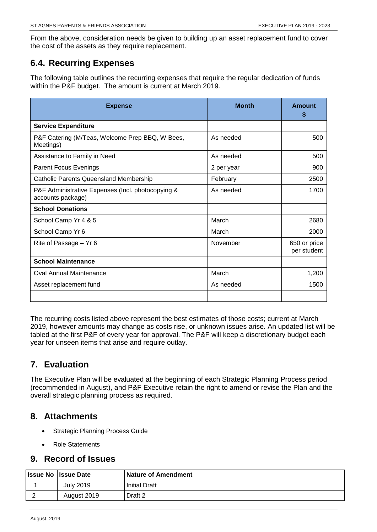From the above, consideration needs be given to building up an asset replacement fund to cover the cost of the assets as they require replacement.

# <span id="page-14-0"></span>**6.4. Recurring Expenses**

The following table outlines the recurring expenses that require the regular dedication of funds within the P&F budget. The amount is current at March 2019.

| <b>Expense</b>                                                         | <b>Month</b> | Amount<br>S                 |
|------------------------------------------------------------------------|--------------|-----------------------------|
| <b>Service Expenditure</b>                                             |              |                             |
| P&F Catering (M/Teas, Welcome Prep BBQ, W Bees,<br>Meetings)           | As needed    | 500                         |
| Assistance to Family in Need                                           | As needed    | 500                         |
| <b>Parent Focus Evenings</b>                                           | 2 per year   | 900                         |
| <b>Catholic Parents Queensland Membership</b>                          | February     | 2500                        |
| P&F Administrative Expenses (Incl. photocopying &<br>accounts package) | As needed    | 1700                        |
| <b>School Donations</b>                                                |              |                             |
| School Camp Yr 4 & 5                                                   | March        | 2680                        |
| School Camp Yr 6                                                       | March        | 2000                        |
| Rite of Passage - Yr 6                                                 | November     | 650 or price<br>per student |
| <b>School Maintenance</b>                                              |              |                             |
| <b>Oval Annual Maintenance</b>                                         | March        | 1,200                       |
| Asset replacement fund                                                 | As needed    | 1500                        |
|                                                                        |              |                             |

The recurring costs listed above represent the best estimates of those costs; current at March 2019, however amounts may change as costs rise, or unknown issues arise. An updated list will be tabled at the first P&F of every year for approval. The P&F will keep a discretionary budget each year for unseen items that arise and require outlay.

# <span id="page-14-1"></span>**7. Evaluation**

The Executive Plan will be evaluated at the beginning of each Strategic Planning Process period (recommended in August), and P&F Executive retain the right to amend or revise the Plan and the overall strategic planning process as required.

# <span id="page-14-2"></span>**8. Attachments**

- Strategic Planning Process Guide
- Role Statements

# <span id="page-14-3"></span>**9. Record of Issues**

| <b>Issue No Issue Date</b> | <b>Nature of Amendment</b> |
|----------------------------|----------------------------|
| July 2019                  | Initial Draft              |
| August 2019                | Draft 2                    |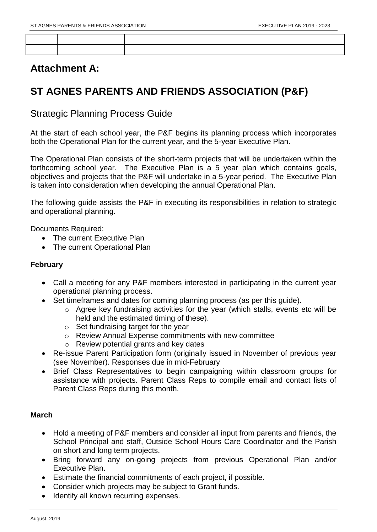# **Attachment A:**

# **ST AGNES PARENTS AND FRIENDS ASSOCIATION (P&F)**

Strategic Planning Process Guide

At the start of each school year, the P&F begins its planning process which incorporates both the Operational Plan for the current year, and the 5-year Executive Plan.

The Operational Plan consists of the short-term projects that will be undertaken within the forthcoming school year. The Executive Plan is a 5 year plan which contains goals, objectives and projects that the P&F will undertake in a 5-year period. The Executive Plan is taken into consideration when developing the annual Operational Plan.

The following guide assists the P&F in executing its responsibilities in relation to strategic and operational planning.

Documents Required:

- The current Executive Plan
- The current Operational Plan

# **February**

- Call a meeting for any P&F members interested in participating in the current year operational planning process.
- Set timeframes and dates for coming planning process (as per this quide).
	- o Agree key fundraising activities for the year (which stalls, events etc will be held and the estimated timing of these).
	- o Set fundraising target for the year
	- o Review Annual Expense commitments with new committee
	- o Review potential grants and key dates
- Re-issue Parent Participation form (originally issued in November of previous year (see November). Responses due in mid-February
- Brief Class Representatives to begin campaigning within classroom groups for assistance with projects. Parent Class Reps to compile email and contact lists of Parent Class Reps during this month.

# **March**

- Hold a meeting of P&F members and consider all input from parents and friends, the School Principal and staff, Outside School Hours Care Coordinator and the Parish on short and long term projects.
- Bring forward any on-going projects from previous Operational Plan and/or Executive Plan.
- Estimate the financial commitments of each project, if possible.
- Consider which projects may be subject to Grant funds.
- Identify all known recurring expenses.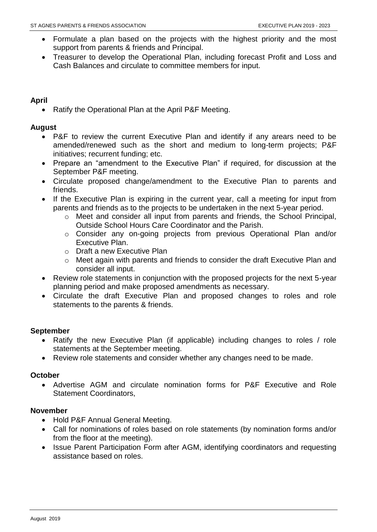- Formulate a plan based on the projects with the highest priority and the most support from parents & friends and Principal.
- Treasurer to develop the Operational Plan, including forecast Profit and Loss and Cash Balances and circulate to committee members for input.

## **April**

• Ratify the Operational Plan at the April P&F Meeting.

## **August**

- P&F to review the current Executive Plan and identify if any arears need to be amended/renewed such as the short and medium to long-term projects; P&F initiatives; recurrent funding; etc.
- Prepare an "amendment to the Executive Plan" if required, for discussion at the September P&F meeting.
- Circulate proposed change/amendment to the Executive Plan to parents and friends.
- If the Executive Plan is expiring in the current year, call a meeting for input from parents and friends as to the projects to be undertaken in the next 5-year period.
	- o Meet and consider all input from parents and friends, the School Principal, Outside School Hours Care Coordinator and the Parish.
	- o Consider any on-going projects from previous Operational Plan and/or Executive Plan.
	- o Draft a new Executive Plan
	- o Meet again with parents and friends to consider the draft Executive Plan and consider all input.
- Review role statements in conjunction with the proposed projects for the next 5-year planning period and make proposed amendments as necessary.
- Circulate the draft Executive Plan and proposed changes to roles and role statements to the parents & friends.

# **September**

- Ratify the new Executive Plan (if applicable) including changes to roles / role statements at the September meeting.
- Review role statements and consider whether any changes need to be made.

## **October**

 Advertise AGM and circulate nomination forms for P&F Executive and Role Statement Coordinators,

## **November**

- Hold P&F Annual General Meeting.
- Call for nominations of roles based on role statements (by nomination forms and/or from the floor at the meeting).
- Issue Parent Participation Form after AGM, identifying coordinators and requesting assistance based on roles.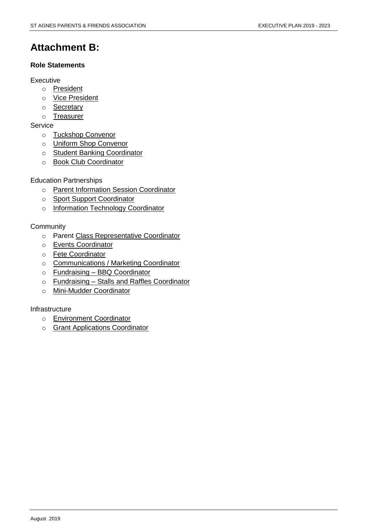# **Attachment B:**

### **Role Statements**

#### Executive

- o President
- o Vice President
- o **Secretary**
- o Treasurer

## **Service**

- o Tuckshop Convenor
- o Uniform Shop Convenor
- o Student Banking Coordinator
- o Book Club Coordinator

## Education Partnerships

- o Parent Information Session Coordinator
- o Sport Support Coordinator
- o Information Technology Coordinator

## **Community**

- o Parent Class Representative Coordinator
- o Events Coordinator
- o Fete Coordinator
- o Communications / Marketing Coordinator
- o Fundraising BBQ Coordinator
- o Fundraising Stalls and Raffles Coordinator
- o Mini-Mudder Coordinator

## Infrastructure

- o Environment Coordinator
- o **Grant Applications Coordinator**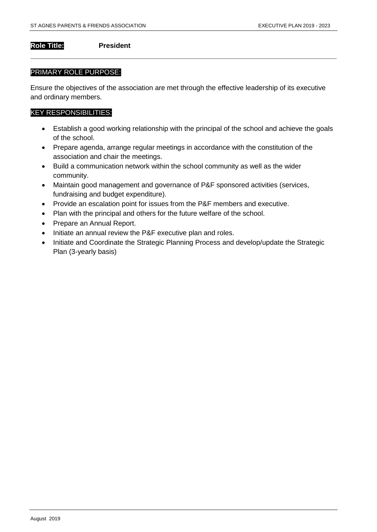**Role Title: President**

#### PRIMARY ROLE PURPOSE:

Ensure the objectives of the association are met through the effective leadership of its executive and ordinary members.

- Establish a good working relationship with the principal of the school and achieve the goals of the school.
- Prepare agenda, arrange regular meetings in accordance with the constitution of the association and chair the meetings.
- Build a communication network within the school community as well as the wider community.
- Maintain good management and governance of P&F sponsored activities (services, fundraising and budget expenditure).
- Provide an escalation point for issues from the P&F members and executive.
- Plan with the principal and others for the future welfare of the school.
- Prepare an Annual Report.
- Initiate an annual review the P&F executive plan and roles.
- Initiate and Coordinate the Strategic Planning Process and develop/update the Strategic Plan (3-yearly basis)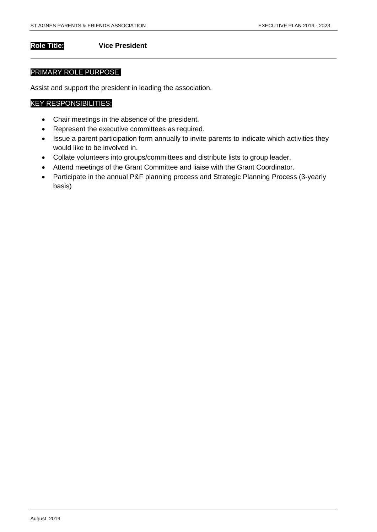#### **Role Title: Vice President**

#### PRIMARY ROLE PURPOSE

Assist and support the president in leading the association.

- Chair meetings in the absence of the president.
- Represent the executive committees as required.
- Issue a parent participation form annually to invite parents to indicate which activities they would like to be involved in.
- Collate volunteers into groups/committees and distribute lists to group leader.
- Attend meetings of the Grant Committee and liaise with the Grant Coordinator.
- Participate in the annual P&F planning process and Strategic Planning Process (3-yearly basis)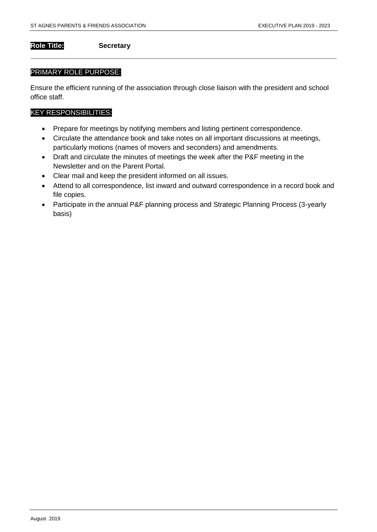#### **Role Title: Secretary**

#### PRIMARY ROLE PURPOSE:

Ensure the efficient running of the association through close liaison with the president and school office staff.

- Prepare for meetings by notifying members and listing pertinent correspondence.
- Circulate the attendance book and take notes on all important discussions at meetings, particularly motions (names of movers and seconders) and amendments.
- Draft and circulate the minutes of meetings the week after the P&F meeting in the Newsletter and on the Parent Portal.
- Clear mail and keep the president informed on all issues.
- Attend to all correspondence, list inward and outward correspondence in a record book and file copies.
- Participate in the annual P&F planning process and Strategic Planning Process (3-yearly basis)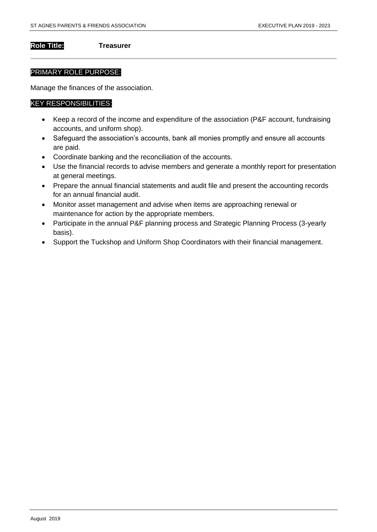#### **Role Title: Treasurer**

#### PRIMARY ROLE PURPOSE:

Manage the finances of the association.

- Keep a record of the income and expenditure of the association (P&F account, fundraising accounts, and uniform shop).
- Safeguard the association's accounts, bank all monies promptly and ensure all accounts are paid.
- Coordinate banking and the reconciliation of the accounts.
- Use the financial records to advise members and generate a monthly report for presentation at general meetings.
- Prepare the annual financial statements and audit file and present the accounting records for an annual financial audit.
- Monitor asset management and advise when items are approaching renewal or maintenance for action by the appropriate members.
- Participate in the annual P&F planning process and Strategic Planning Process (3-yearly basis).
- Support the Tuckshop and Uniform Shop Coordinators with their financial management.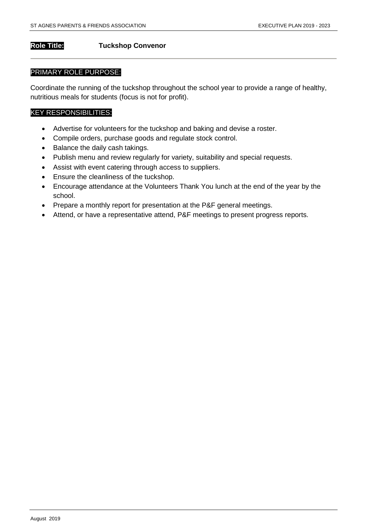### **Role Title: Tuckshop Convenor**

#### PRIMARY ROLE PURPOSE:

Coordinate the running of the tuckshop throughout the school year to provide a range of healthy, nutritious meals for students (focus is not for profit).

- Advertise for volunteers for the tuckshop and baking and devise a roster.
- Compile orders, purchase goods and regulate stock control.
- Balance the daily cash takings.
- Publish menu and review regularly for variety, suitability and special requests.
- Assist with event catering through access to suppliers.
- **Ensure the cleanliness of the tuckshop.**
- Encourage attendance at the Volunteers Thank You lunch at the end of the year by the school.
- Prepare a monthly report for presentation at the P&F general meetings.
- Attend, or have a representative attend, P&F meetings to present progress reports.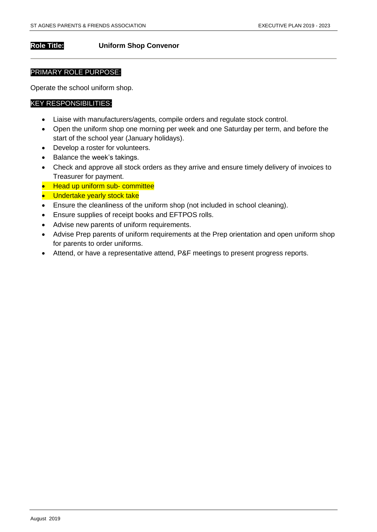#### **Role Title: Uniform Shop Convenor**

#### PRIMARY ROLE PURPOSE:

Operate the school uniform shop.

- Liaise with manufacturers/agents, compile orders and regulate stock control.
- Open the uniform shop one morning per week and one Saturday per term, and before the start of the school year (January holidays).
- Develop a roster for volunteers.
- Balance the week's takings.
- Check and approve all stock orders as they arrive and ensure timely delivery of invoices to Treasurer for payment.
- Head up uniform sub- committee
- Undertake yearly stock take
- Ensure the cleanliness of the uniform shop (not included in school cleaning).
- Ensure supplies of receipt books and EFTPOS rolls.
- Advise new parents of uniform requirements.
- Advise Prep parents of uniform requirements at the Prep orientation and open uniform shop for parents to order uniforms.
- Attend, or have a representative attend, P&F meetings to present progress reports.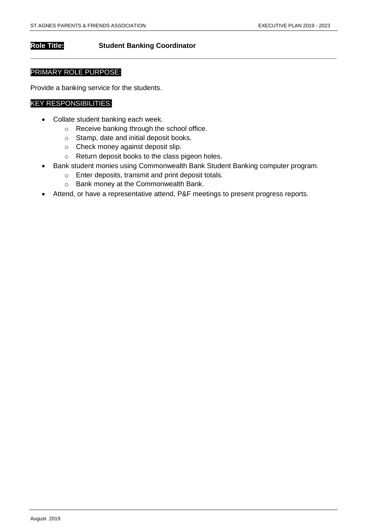#### **Role Title: Student Banking Coordinator**

#### PRIMARY ROLE PURPOSE:

Provide a banking service for the students.

- Collate student banking each week.
	- o Receive banking through the school office.
	- o Stamp, date and initial deposit books.
	- o Check money against deposit slip.
	- o Return deposit books to the class pigeon holes.
- Bank student monies using Commonwealth Bank Student Banking computer program.
	- o Enter deposits, transmit and print deposit totals.
	- o Bank money at the Commonwealth Bank.
- Attend, or have a representative attend, P&F meetings to present progress reports.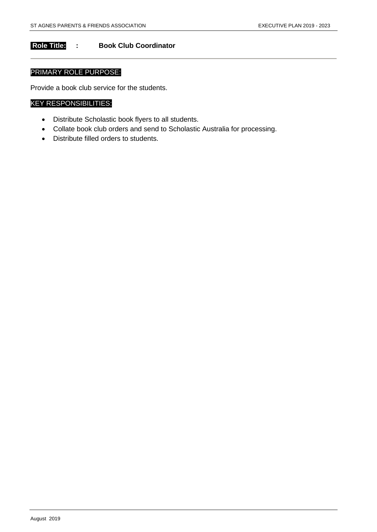## **Role Title: : Book Club Coordinator**

## PRIMARY ROLE PURPOSE:

Provide a book club service for the students.

- Distribute Scholastic book flyers to all students.
- Collate book club orders and send to Scholastic Australia for processing.
- Distribute filled orders to students.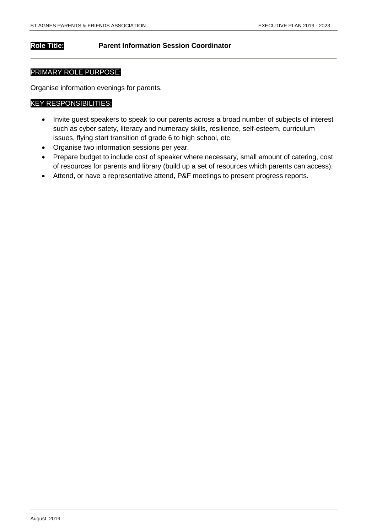### **Role Title: Parent Information Session Coordinator**

#### PRIMARY ROLE PURPOSE:

Organise information evenings for parents.

- Invite guest speakers to speak to our parents across a broad number of subjects of interest such as cyber safety, literacy and numeracy skills, resilience, self-esteem, curriculum issues, flying start transition of grade 6 to high school, etc.
- Organise two information sessions per year.
- Prepare budget to include cost of speaker where necessary, small amount of catering, cost of resources for parents and library (build up a set of resources which parents can access).
- Attend, or have a representative attend, P&F meetings to present progress reports.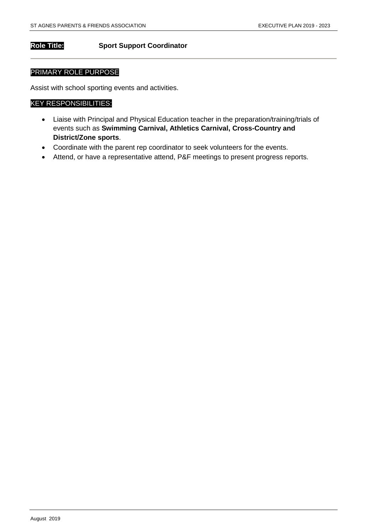#### **Role Title: Sport Support Coordinator**

#### PRIMARY ROLE PURPOSE

Assist with school sporting events and activities.

- Liaise with Principal and Physical Education teacher in the preparation/training/trials of events such as **Swimming Carnival, Athletics Carnival, Cross-Country and District/Zone sports**.
- Coordinate with the parent rep coordinator to seek volunteers for the events.
- Attend, or have a representative attend, P&F meetings to present progress reports.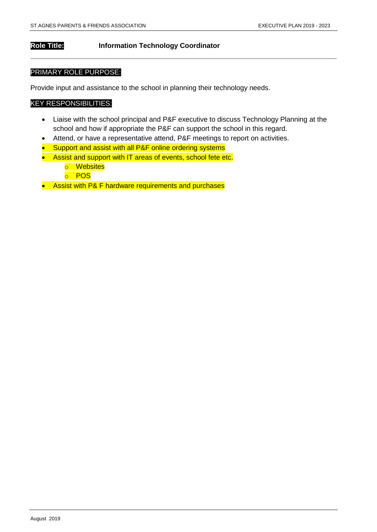### **Role Title: Information Technology Coordinator**

#### PRIMARY ROLE PURPOSE:

Provide input and assistance to the school in planning their technology needs.

- Liaise with the school principal and P&F executive to discuss Technology Planning at the school and how if appropriate the P&F can support the school in this regard.
- Attend, or have a representative attend, P&F meetings to report on activities.
- Support and assist with all P&F online ordering systems
- Assist and support with IT areas of events, school fete etc.
	- o Websites
	- o POS
- Assist with P& F hardware requirements and purchases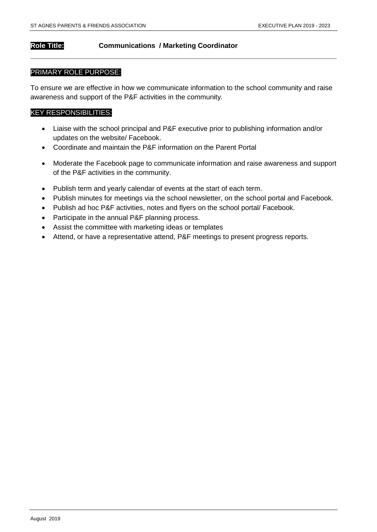### **Role Title: Communications / Marketing Coordinator**

#### PRIMARY ROLE PURPOSE:

To ensure we are effective in how we communicate information to the school community and raise awareness and support of the P&F activities in the community.

- Liaise with the school principal and P&F executive prior to publishing information and/or updates on the website/ Facebook.
- Coordinate and maintain the P&F information on the Parent Portal
- Moderate the Facebook page to communicate information and raise awareness and support of the P&F activities in the community.
- Publish term and yearly calendar of events at the start of each term.
- Publish minutes for meetings via the school newsletter, on the school portal and Facebook.
- Publish ad hoc P&F activities, notes and flyers on the school portal/ Facebook.
- Participate in the annual P&F planning process.
- Assist the committee with marketing ideas or templates
- Attend, or have a representative attend, P&F meetings to present progress reports.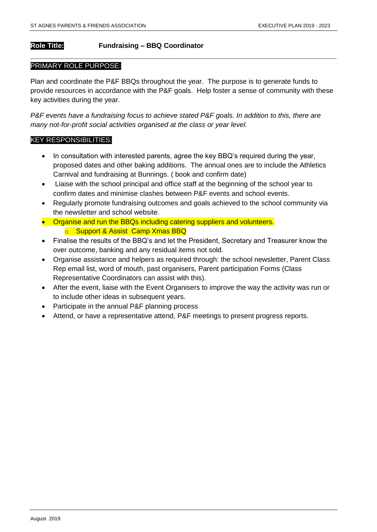## **Role Title: Fundraising – BBQ Coordinator**

#### PRIMARY ROLE PURPOSE:

Plan and coordinate the P&F BBQs throughout the year. The purpose is to generate funds to provide resources in accordance with the P&F goals. Help foster a sense of community with these key activities during the year.

*P&F events have a fundraising focus to achieve stated P&F goals. In addition to this, there are many not-for-profit social activities organised at the class or year level.*

- In consultation with interested parents, agree the key BBQ's required during the year, proposed dates and other baking additions. The annual ones are to include the Athletics Carnival and fundraising at Bunnings. ( book and confirm date)
- Liaise with the school principal and office staff at the beginning of the school year to confirm dates and minimise clashes between P&F events and school events.
- Regularly promote fundraising outcomes and goals achieved to the school community via the newsletter and school website.
- Organise and run the BBQs including catering suppliers and volunteers. **o** Support & Assist Camp Xmas BBQ
- Finalise the results of the BBQ's and let the President, Secretary and Treasurer know the over outcome, banking and any residual items not sold.
- Organise assistance and helpers as required through: the school newsletter, Parent Class Rep email list, word of mouth, past organisers, Parent participation Forms (Class Representative Coordinators can assist with this).
- After the event, liaise with the Event Organisers to improve the way the activity was run or to include other ideas in subsequent years.
- Participate in the annual P&F planning process
- Attend, or have a representative attend, P&F meetings to present progress reports.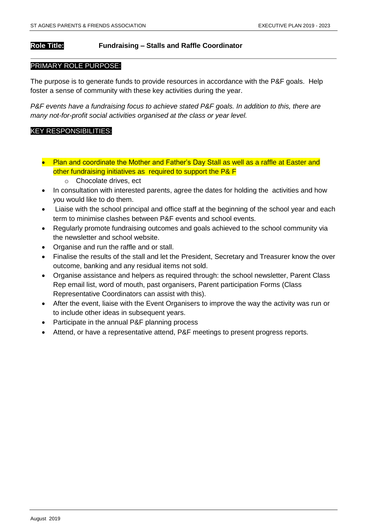### **Role Title: Fundraising – Stalls and Raffle Coordinator**

#### PRIMARY ROLE PURPOSE:

The purpose is to generate funds to provide resources in accordance with the P&F goals. Help foster a sense of community with these key activities during the year.

*P&F events have a fundraising focus to achieve stated P&F goals. In addition to this, there are many not-for-profit social activities organised at the class or year level.*

- Plan and coordinate the Mother and Father's Day Stall as well as a raffle at Easter and other fundraising initiatives as required to support the P& F
	- o Chocolate drives, ect
- In consultation with interested parents, agree the dates for holding the activities and how you would like to do them.
- Liaise with the school principal and office staff at the beginning of the school year and each term to minimise clashes between P&F events and school events.
- Regularly promote fundraising outcomes and goals achieved to the school community via the newsletter and school website.
- Organise and run the raffle and or stall.
- Finalise the results of the stall and let the President, Secretary and Treasurer know the over outcome, banking and any residual items not sold.
- Organise assistance and helpers as required through: the school newsletter, Parent Class Rep email list, word of mouth, past organisers, Parent participation Forms (Class Representative Coordinators can assist with this).
- After the event, liaise with the Event Organisers to improve the way the activity was run or to include other ideas in subsequent years.
- Participate in the annual P&F planning process
- Attend, or have a representative attend, P&F meetings to present progress reports.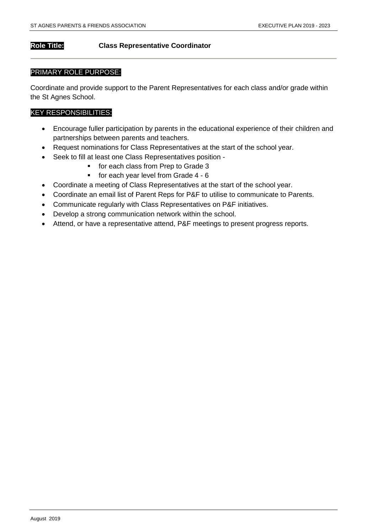### **Role Title: Class Representative Coordinator**

#### PRIMARY ROLE PURPOSE:

Coordinate and provide support to the Parent Representatives for each class and/or grade within the St Agnes School.

- Encourage fuller participation by parents in the educational experience of their children and partnerships between parents and teachers.
- Request nominations for Class Representatives at the start of the school year.
- Seek to fill at least one Class Representatives position
	- **for each class from Prep to Grade 3**
	- $\blacksquare$  for each year level from Grade 4 6
- Coordinate a meeting of Class Representatives at the start of the school year.
- Coordinate an email list of Parent Reps for P&F to utilise to communicate to Parents.
- Communicate regularly with Class Representatives on P&F initiatives.
- Develop a strong communication network within the school.
- Attend, or have a representative attend, P&F meetings to present progress reports.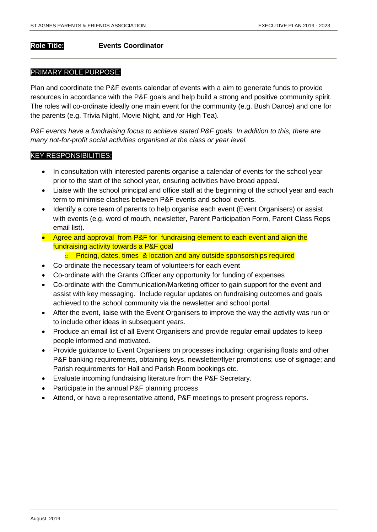#### **Role Title: Events Coordinator**

#### PRIMARY ROLE PURPOSE:

Plan and coordinate the P&F events calendar of events with a aim to generate funds to provide resources in accordance with the P&F goals and help build a strong and positive community spirit. The roles will co-ordinate ideally one main event for the community (e.g. Bush Dance) and one for the parents (e.g. Trivia Night, Movie Night, and /or High Tea).

*P&F events have a fundraising focus to achieve stated P&F goals. In addition to this, there are many not-for-profit social activities organised at the class or year level.*

- In consultation with interested parents organise a calendar of events for the school year prior to the start of the school year, ensuring activities have broad appeal.
- Liaise with the school principal and office staff at the beginning of the school year and each term to minimise clashes between P&F events and school events.
- Identify a core team of parents to help organise each event (Event Organisers) or assist with events (e.g. word of mouth, newsletter, Parent Participation Form, Parent Class Reps email list).
- Agree and approval from P&F for fundraising element to each event and align the fundraising activity towards a P&F goal
	- o Pricing, dates, times & location and any outside sponsorships required
- Co-ordinate the necessary team of volunteers for each event
- Co-ordinate with the Grants Officer any opportunity for funding of expenses
- Co-ordinate with the Communication/Marketing officer to gain support for the event and assist with key messaging. Include regular updates on fundraising outcomes and goals achieved to the school community via the newsletter and school portal.
- After the event, liaise with the Event Organisers to improve the way the activity was run or to include other ideas in subsequent years.
- Produce an email list of all Event Organisers and provide regular email updates to keep people informed and motivated.
- Provide guidance to Event Organisers on processes including: organising floats and other P&F banking requirements, obtaining keys, newsletter/flyer promotions; use of signage; and Parish requirements for Hall and Parish Room bookings etc.
- Evaluate incoming fundraising literature from the P&F Secretary.
- Participate in the annual P&F planning process
- Attend, or have a representative attend, P&F meetings to present progress reports.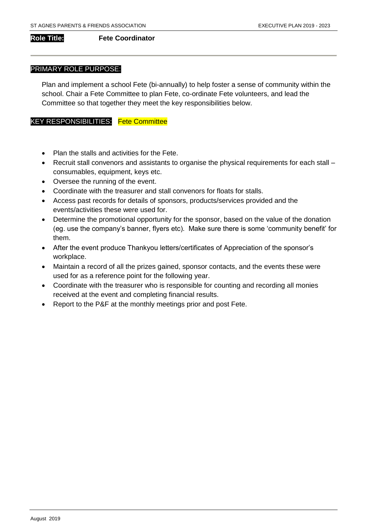#### **Role Title: Fete Coordinator**

#### PRIMARY ROLE PURPOSE:

Plan and implement a school Fete (bi-annually) to help foster a sense of community within the school. Chair a Fete Committee to plan Fete, co-ordinate Fete volunteers, and lead the Committee so that together they meet the key responsibilities below.

#### KEY RESPONSIBILITIES: Fete Committee

- Plan the stalls and activities for the Fete.
- Recruit stall convenors and assistants to organise the physical requirements for each stall consumables, equipment, keys etc.
- Oversee the running of the event.
- Coordinate with the treasurer and stall convenors for floats for stalls.
- Access past records for details of sponsors, products/services provided and the events/activities these were used for.
- Determine the promotional opportunity for the sponsor, based on the value of the donation (eg. use the company's banner, flyers etc). Make sure there is some 'community benefit' for them.
- After the event produce Thankyou letters/certificates of Appreciation of the sponsor's workplace.
- Maintain a record of all the prizes gained, sponsor contacts, and the events these were used for as a reference point for the following year.
- Coordinate with the treasurer who is responsible for counting and recording all monies received at the event and completing financial results.
- Report to the P&F at the monthly meetings prior and post Fete.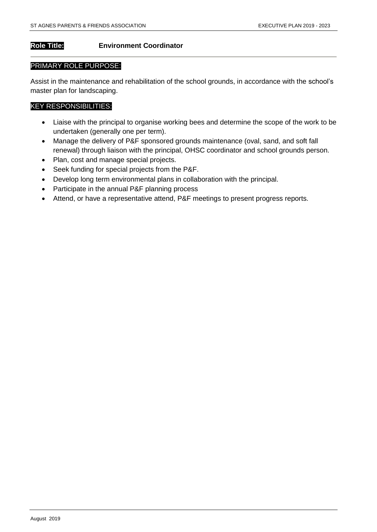## **Role Title: Environment Coordinator**

#### PRIMARY ROLE PURPOSE:

Assist in the maintenance and rehabilitation of the school grounds, in accordance with the school's master plan for landscaping.

- Liaise with the principal to organise working bees and determine the scope of the work to be undertaken (generally one per term).
- Manage the delivery of P&F sponsored grounds maintenance (oval, sand, and soft fall renewal) through liaison with the principal, OHSC coordinator and school grounds person.
- Plan, cost and manage special projects.
- Seek funding for special projects from the P&F.
- Develop long term environmental plans in collaboration with the principal.
- Participate in the annual P&F planning process
- Attend, or have a representative attend, P&F meetings to present progress reports.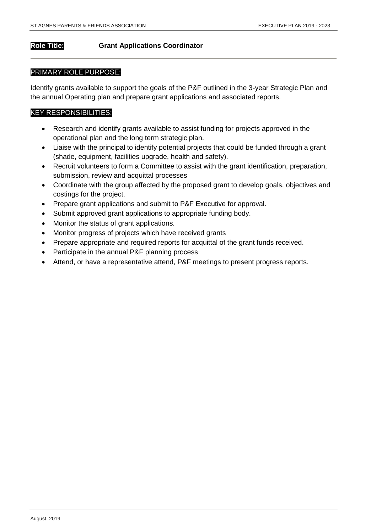### **Role Title: Grant Applications Coordinator**

#### PRIMARY ROLE PURPOSE:

Identify grants available to support the goals of the P&F outlined in the 3-year Strategic Plan and the annual Operating plan and prepare grant applications and associated reports.

- Research and identify grants available to assist funding for projects approved in the operational plan and the long term strategic plan.
- Liaise with the principal to identify potential projects that could be funded through a grant (shade, equipment, facilities upgrade, health and safety).
- Recruit volunteers to form a Committee to assist with the grant identification, preparation, submission, review and acquittal processes
- Coordinate with the group affected by the proposed grant to develop goals, objectives and costings for the project.
- Prepare grant applications and submit to P&F Executive for approval.
- Submit approved grant applications to appropriate funding body.
- Monitor the status of grant applications.
- Monitor progress of projects which have received grants
- Prepare appropriate and required reports for acquittal of the grant funds received.
- Participate in the annual P&F planning process
- Attend, or have a representative attend, P&F meetings to present progress reports.